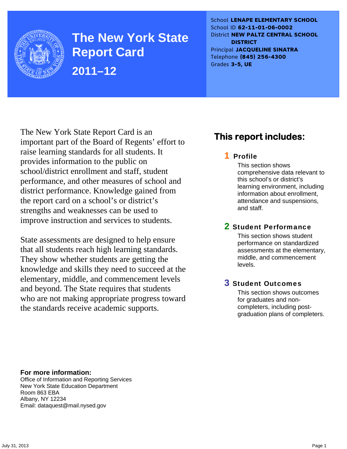

**The New York State Report Card 2011–12** 

School **LENAPE ELEMENTARY SCHOOL** School ID **62-11-01-06-0002** District **NEW PALTZ CENTRAL SCHOOL DISTRICT** Principal **JACQUELINE SINATRA** Telephone **(845) 256-4300** Grades **3-5, UE**

The New York State Report Card is an important part of the Board of Regents' effort to raise learning standards for all students. It provides information to the public on school/district enrollment and staff, student performance, and other measures of school and district performance. Knowledge gained from the report card on a school's or district's strengths and weaknesses can be used to improve instruction and services to students.

State assessments are designed to help ensure that all students reach high learning standards. They show whether students are getting the knowledge and skills they need to succeed at the elementary, middle, and commencement levels and beyond. The State requires that students who are not making appropriate progress toward the standards receive academic supports.

### **This report includes:**

### 1 Profile

This section shows comprehensive data relevant to this school's or district's learning environment, including information about enrollment, attendance and suspensions, and staff.

### 2 Student Performance

This section shows student performance on standardized assessments at the elementary, middle, and commencement levels.

### 3 Student Outcomes

This section shows outcomes for graduates and noncompleters, including postgraduation plans of completers.

**For more information:**  Office of Information and Reporting Services New York State Education Department Room 863 EBA Albany, NY 12234

Email: dataquest@mail.nysed.gov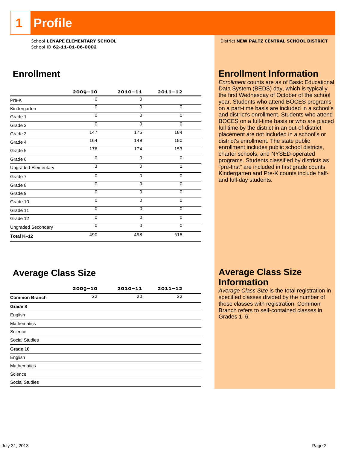**1 Profile** 

School ID **62-11-01-06-0002**

### **Enrollment**

|                            | $2009 - 10$ | $2010 - 11$ | $2011 - 12$  |
|----------------------------|-------------|-------------|--------------|
| Pre-K                      | 0           | $\mathbf 0$ |              |
| Kindergarten               | $\Omega$    | $\Omega$    | 0            |
| Grade 1                    | $\Omega$    | $\Omega$    | 0            |
| Grade 2                    | 0           | $\Omega$    | 0            |
| Grade 3                    | 147         | 175         | 184          |
| Grade 4                    | 164         | 149         | 180          |
| Grade 5                    | 176         | 174         | 153          |
| Grade 6                    | 0           | $\mathbf 0$ | 0            |
| <b>Ungraded Elementary</b> | 3           | $\Omega$    | $\mathbf{1}$ |
| Grade 7                    | 0           | 0           | $\mathbf 0$  |
| Grade 8                    | 0           | $\mathbf 0$ | 0            |
| Grade 9                    | 0           | 0           | 0            |
| Grade 10                   | 0           | 0           | 0            |
| Grade 11                   | $\Omega$    | 0           | 0            |
| Grade 12                   | 0           | $\mathbf 0$ | 0            |
| <b>Ungraded Secondary</b>  | $\Omega$    | $\mathbf 0$ | $\mathbf 0$  |
| Total K-12                 | 490         | 498         | 518          |

### **Average Class Size**

|                       | $2009 - 10$ | $2010 - 11$ | $2011 - 12$ |
|-----------------------|-------------|-------------|-------------|
| <b>Common Branch</b>  | 22          | 20          | 22          |
| Grade 8               |             |             |             |
| English               |             |             |             |
| <b>Mathematics</b>    |             |             |             |
| Science               |             |             |             |
| <b>Social Studies</b> |             |             |             |
| Grade 10              |             |             |             |
| English               |             |             |             |
| <b>Mathematics</b>    |             |             |             |
| Science               |             |             |             |
| <b>Social Studies</b> |             |             |             |

School **LENAPE ELEMENTARY SCHOOL** District **NEW PALTZ CENTRAL SCHOOL DISTRICT**

### **Enrollment Information**

*Enrollment* counts are as of Basic Educational Data System (BEDS) day, which is typically the first Wednesday of October of the school year. Students who attend BOCES programs on a part-time basis are included in a school's and district's enrollment. Students who attend BOCES on a full-time basis or who are placed full time by the district in an out-of-district placement are not included in a school's or district's enrollment. The state public enrollment includes public school districts, charter schools, and NYSED-operated programs. Students classified by districts as "pre-first" are included in first grade counts. Kindergarten and Pre-K counts include halfand full-day students.

### **Average Class Size Information**

*Average Class Size* is the total registration in specified classes divided by the number of those classes with registration. Common Branch refers to self-contained classes in Grades 1–6.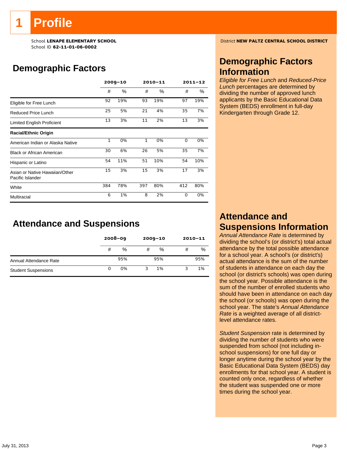# **Profile**

School ID **62-11-01-06-0002**

### **Demographic Factors**

|                                                    | $2009 - 10$  |      |              | $2010 - 11$ | $2011 - 12$ |     |
|----------------------------------------------------|--------------|------|--------------|-------------|-------------|-----|
|                                                    | #            | $\%$ | #            | $\%$        | #           | ℅   |
| Eligible for Free Lunch                            | 92           | 19%  | 93           | 19%         | 97          | 19% |
| Reduced Price Lunch                                | 25           | 5%   | 21           | 4%          | 35          | 7%  |
| Limited English Proficient                         | 13           | 3%   | 11           | 2%          | 13          | 3%  |
| <b>Racial/Ethnic Origin</b>                        |              |      |              |             |             |     |
| American Indian or Alaska Native                   | $\mathbf{1}$ | 0%   | $\mathbf{1}$ | 0%          | 0           | 0%  |
| <b>Black or African American</b>                   | 30           | 6%   | 26           | 5%          | 35          | 7%  |
| Hispanic or Latino                                 | 54           | 11%  | 51           | 10%         | 54          | 10% |
| Asian or Native Hawaiian/Other<br>Pacific Islander | 15           | 3%   | 15           | 3%          | 17          | 3%  |
| White                                              | 384          | 78%  | 397          | 80%         | 412         | 80% |
| Multiracial                                        | 6            | 1%   | 8            | 2%          | 0           | 0%  |

### **Attendance and Suspensions**

|                            |   | $2008 - 09$ |   | $2009 - 10$ | $2010 - 11$ |     |
|----------------------------|---|-------------|---|-------------|-------------|-----|
|                            | # | %           | # | %           | #           | %   |
| Annual Attendance Rate     |   | 95%         |   | 95%         |             | 95% |
| <b>Student Suspensions</b> |   | 0%          | 3 | 1%          |             | 1%  |

School **LENAPE ELEMENTARY SCHOOL** District **NEW PALTZ CENTRAL SCHOOL DISTRICT**

### **Demographic Factors Information**

*Eligible for Free Lunch* and *Reduced-Price Lunch* percentages are determined by dividing the number of approved lunch applicants by the Basic Educational Data System (BEDS) enrollment in full-day Kindergarten through Grade 12.

### **Attendance and Suspensions Information**

*Annual Attendance Rate* is determined by dividing the school's (or district's) total actual attendance by the total possible attendance for a school year. A school's (or district's) actual attendance is the sum of the number of students in attendance on each day the school (or district's schools) was open during the school year. Possible attendance is the sum of the number of enrolled students who should have been in attendance on each day the school (or schools) was open during the school year. The state's *Annual Attendance Rate* is a weighted average of all districtlevel attendance rates.

*Student Suspension* rate is determined by dividing the number of students who were suspended from school (not including inschool suspensions) for one full day or longer anytime during the school year by the Basic Educational Data System (BEDS) day enrollments for that school year. A student is counted only once, regardless of whether the student was suspended one or more times during the school year.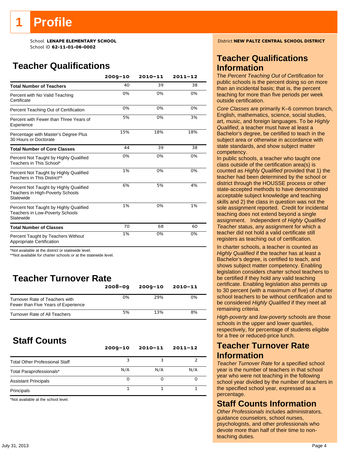## **Profile**

School ID **62-11-01-06-0002**

### **Teacher Qualifications**

|                                                                                         | $2009 - 10$ | 2010-11 | $2011 - 12$ |
|-----------------------------------------------------------------------------------------|-------------|---------|-------------|
| <b>Total Number of Teachers</b>                                                         | 40          | 39      | 38          |
| Percent with No Valid Teaching<br>Certificate                                           | 0%          | 0%      | 0%          |
| Percent Teaching Out of Certification                                                   | 0%          | 0%      | 0%          |
| Percent with Fewer than Three Years of<br>Experience                                    | 5%          | 0%      | 3%          |
| Percentage with Master's Degree Plus<br>30 Hours or Doctorate                           | 15%         | 18%     | 18%         |
| <b>Total Number of Core Classes</b>                                                     | 44          | 39      | 38          |
| Percent Not Taught by Highly Qualified<br>Teachers in This School*                      | 0%          | 0%      | 0%          |
| Percent Not Taught by Highly Qualified<br>Teachers in This District**                   | 1%          | 0%      | 0%          |
| Percent Not Taught by Highly Qualified<br>Teachers in High-Poverty Schools<br>Statewide | 6%          | 5%      | 4%          |
| Percent Not Taught by Highly Qualified<br>Teachers in Low-Poverty Schools<br>Statewide  | 1%          | 0%      | 1%          |
| <b>Total Number of Classes</b>                                                          | 70          | 68      | 60          |
| Percent Taught by Teachers Without<br>Appropriate Certification                         | 1%          | 0%      | 0%          |

\*Not available at the district or statewide level.

\*\*Not available for charter schools or at the statewide level.

### **Teacher Turnover Rate**

|                                                                       | $2008 - 09$ | $2009 - 10$ | 2010-11 |
|-----------------------------------------------------------------------|-------------|-------------|---------|
| Turnover Rate of Teachers with<br>Fewer than Five Years of Experience | 0%          | 29%         | 0%      |
| Turnover Rate of All Teachers                                         | 5%          | 13%         | 8%      |

### **Staff Counts**

|                                       | $2009 - 10$ | $2010 - 11$ | $2011 - 12$ |
|---------------------------------------|-------------|-------------|-------------|
| <b>Total Other Professional Staff</b> |             |             |             |
| Total Paraprofessionals*              | N/A         | N/A         | N/A         |
| <b>Assistant Principals</b>           |             |             |             |
| Principals                            |             |             |             |

\*Not available at the school level.

School **LENAPE ELEMENTARY SCHOOL** District **NEW PALTZ CENTRAL SCHOOL DISTRICT**

### **Teacher Qualifications Information**

The *Percent Teaching Out of Certification* for public schools is the percent doing so on more than an incidental basis; that is, the percent teaching for more than five periods per week outside certification.

*Core Classes* are primarily K–6 common branch, English, mathematics, science, social studies, art, music, and foreign languages. To be *Highly Qualified*, a teacher must have at least a Bachelor's degree, be certified to teach in the subject area or otherwise in accordance with state standards, and show subject matter competency.

In public schools, a teacher who taught one class outside of the certification area(s) is counted as *Highly Qualified* provided that 1) the teacher had been determined by the school or district through the HOUSSE process or other state-accepted methods to have demonstrated acceptable subject knowledge and teaching skills and 2) the class in question was not the sole assignment reported. Credit for incidental teaching does not extend beyond a single assignment. Independent of *Highly Qualified Teacher* status, any assignment for which a teacher did not hold a valid certificate still registers as teaching out of certification.

In charter schools, a teacher is counted as *Highly Qualified* if the teacher has at least a Bachelor's degree, is certified to teach, and shows subject matter competency. Enabling legislation considers charter school teachers to be certified if they hold any valid teaching certificate. Enabling legislation also permits up to 30 percent (with a maximum of five) of charter school teachers to be without certification and to be considered *Highly Qualified* if they meet all remaining criteria.

*High-poverty* and *low-poverty* schools are those schools in the upper and lower quartiles, respectively, for percentage of students eligible for a free or reduced-price lunch.

### **Teacher Turnover Rate Information**

*Teacher Turnover Rate* for a specified school year is the number of teachers in that school year who were not teaching in the following school year divided by the number of teachers in the specified school year, expressed as a percentage.

### **Staff Counts Information**

*Other Professionals* includes administrators, guidance counselors, school nurses, psychologists, and other professionals who devote more than half of their time to nonteaching duties.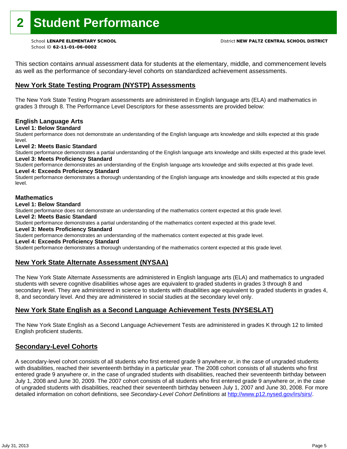This section contains annual assessment data for students at the elementary, middle, and commencement levels as well as the performance of secondary-level cohorts on standardized achievement assessments.

### **New York State Testing Program (NYSTP) Assessments**

The New York State Testing Program assessments are administered in English language arts (ELA) and mathematics in grades 3 through 8. The Performance Level Descriptors for these assessments are provided below:

### **English Language Arts**

**Level 1: Below Standard** 

Student performance does not demonstrate an understanding of the English language arts knowledge and skills expected at this grade level.

### **Level 2: Meets Basic Standard**

Student performance demonstrates a partial understanding of the English language arts knowledge and skills expected at this grade level. **Level 3: Meets Proficiency Standard** 

Student performance demonstrates an understanding of the English language arts knowledge and skills expected at this grade level. **Level 4: Exceeds Proficiency Standard** 

Student performance demonstrates a thorough understanding of the English language arts knowledge and skills expected at this grade level.

### **Mathematics**

#### **Level 1: Below Standard**

Student performance does not demonstrate an understanding of the mathematics content expected at this grade level.

#### **Level 2: Meets Basic Standard**

Student performance demonstrates a partial understanding of the mathematics content expected at this grade level.

#### **Level 3: Meets Proficiency Standard**

Student performance demonstrates an understanding of the mathematics content expected at this grade level.

#### **Level 4: Exceeds Proficiency Standard**

Student performance demonstrates a thorough understanding of the mathematics content expected at this grade level.

### **New York State Alternate Assessment (NYSAA)**

The New York State Alternate Assessments are administered in English language arts (ELA) and mathematics to ungraded students with severe cognitive disabilities whose ages are equivalent to graded students in grades 3 through 8 and secondary level. They are administered in science to students with disabilities age equivalent to graded students in grades 4, 8, and secondary level. And they are administered in social studies at the secondary level only.

### **New York State English as a Second Language Achievement Tests (NYSESLAT)**

The New York State English as a Second Language Achievement Tests are administered in grades K through 12 to limited English proficient students.

### **Secondary-Level Cohorts**

A secondary-level cohort consists of all students who first entered grade 9 anywhere or, in the case of ungraded students with disabilities, reached their seventeenth birthday in a particular year. The 2008 cohort consists of all students who first entered grade 9 anywhere or, in the case of ungraded students with disabilities, reached their seventeenth birthday between July 1, 2008 and June 30, 2009. The 2007 cohort consists of all students who first entered grade 9 anywhere or, in the case of ungraded students with disabilities, reached their seventeenth birthday between July 1, 2007 and June 30, 2008. For more detailed information on cohort definitions, see *Secondary-Level Cohort Definitions* at http://www.p12.nysed.gov/irs/sirs/.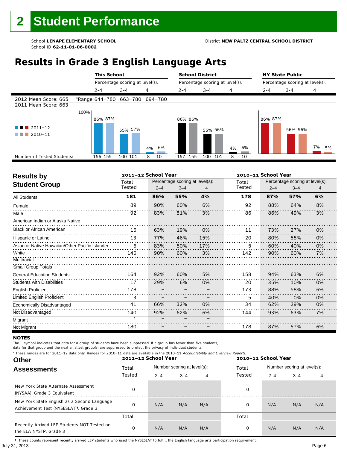## **Results in Grade 3 English Language Arts**

|                                              |      |         | <b>This School</b><br>Percentage scoring at level(s): |          |         | <b>School District</b><br>Percentage scoring at level(s): |          |         | <b>NY State Public</b><br>Percentage scoring at level(s): |          |  |
|----------------------------------------------|------|---------|-------------------------------------------------------|----------|---------|-----------------------------------------------------------|----------|---------|-----------------------------------------------------------|----------|--|
|                                              |      |         |                                                       |          |         |                                                           |          |         |                                                           |          |  |
|                                              |      | $2 - 4$ | $3 - 4$                                               | 4        | $2 - 4$ | $3 - 4$                                                   | 4        | $2 - 4$ | $3 - 4$                                                   | 4        |  |
| 2012 Mean Score: 665<br>2011 Mean Score: 663 |      |         | *Range: 644-780 663-780 694-780                       |          |         |                                                           |          |         |                                                           |          |  |
|                                              | 100% |         |                                                       |          |         |                                                           |          |         |                                                           |          |  |
|                                              |      | 86% 87% |                                                       |          | 86% 86% |                                                           |          | 86% 87% |                                                           |          |  |
| $2011 - 12$<br>2010-11                       |      |         | 55% 57%                                               | 6%<br>4% |         | 55% 56%                                                   | 6%<br>4% |         | 56% 56%                                                   | 7%<br>5% |  |
| Number of Tested Students:                   |      | 156 155 | 100 101                                               | 10<br>8  | 157 155 | 100<br>101                                                | 8<br>10  |         |                                                           |          |  |
|                                              |      |         |                                                       |          |         |                                                           |          |         |                                                           |          |  |

| <b>Results by</b>                               |        | 2011-12 School Year |                                 |     |        | 2010-11 School Year             |         |    |  |
|-------------------------------------------------|--------|---------------------|---------------------------------|-----|--------|---------------------------------|---------|----|--|
| <b>Student Group</b>                            | Total  |                     | Percentage scoring at level(s): |     | Total  | Percentage scoring at level(s): |         |    |  |
|                                                 | Tested | $2 - 4$             | $3 - 4$                         | 4   | Tested | $2 - 4$                         | $3 - 4$ | 4  |  |
| All Students                                    | 181    | 86%                 | 55%                             | 4%  | 178    | 87%                             | 57%     | 6% |  |
| Female                                          | 89     | 90%                 | 60%                             | 6%  | 92     | 88%                             | 64%     | 8% |  |
| Male                                            | 92     | 83%                 | 51%                             | 3%  | 86     | 86%                             | 49%     | 3% |  |
| American Indian or Alaska Native                |        |                     |                                 |     |        |                                 |         |    |  |
| <b>Black or African American</b>                | 16     | 63%                 | 19%                             | 0%  | 11     | 73%                             | 27%     | 0% |  |
| Hispanic or Latino                              | 13     | 77%                 | 46%                             | 15% | 20     | 80%                             | 55%     | 0% |  |
| Asian or Native Hawaiian/Other Pacific Islander | 6      | 83%                 | 50%                             | 17% | 5      | 60%                             | 40%     | 0% |  |
| White                                           | 146    | 90%                 | 60%                             | 3%  | 142    | 90%                             | 60%     | 7% |  |
| Multiracial                                     |        |                     |                                 |     |        |                                 |         |    |  |
| <b>Small Group Totals</b>                       |        |                     |                                 |     |        |                                 |         |    |  |
| <b>General-Education Students</b>               | 164    | 92%                 | 60%                             | 5%  | 158    | 94%                             | 63%     | 6% |  |
| <b>Students with Disabilities</b>               | 17     | 29%                 | 6%                              | 0%  | 20     | 35%                             | 10%     | 0% |  |
| <b>English Proficient</b>                       | 178    |                     |                                 |     | 173    | 88%                             | 58%     | 6% |  |
| Limited English Proficient                      | 3      |                     |                                 |     | 5.     | 40%                             | 0%      | 0% |  |
| Economically Disadvantaged                      | 41     | 66%                 | 32%                             | 0%  | 34     | 62%                             | 29%     | 0% |  |
| Not Disadvantaged                               | 140    | 92%                 | 62%                             | 6%  | 144    | 93%                             | 63%     | 7% |  |
| Migrant                                         |        |                     |                                 |     |        |                                 |         |    |  |
| Not Migrant                                     | 180    |                     |                                 |     | 178    | 87%                             | 57%     | 6% |  |

#### **NOTES**

The – symbol indicates that data for a group of students have been suppressed. If a group has fewer than five students,

data for that group and the next smallest group(s) are suppressed to protect the privacy of individual students. \* These ranges are for 2011–12 data only. Ranges for 2010–11 data are available in the 2010–11 Accountability and Overview Reports.

| THESE TRINGES ATE TOT ZUIT-IZ GATA UNIV. RANGES TOT ZUIU-II GATA ATE AVAILADE IN THE ZUIU-II ACCOUNTABLICY AND OVERVIEW REPORTS.<br><b>Other</b> | 2011-12 School Year |         |                             |     | 2010-11 School Year |         |                             |     |
|--------------------------------------------------------------------------------------------------------------------------------------------------|---------------------|---------|-----------------------------|-----|---------------------|---------|-----------------------------|-----|
| <b>Assessments</b>                                                                                                                               | Total               |         | Number scoring at level(s): |     | Total               |         | Number scoring at level(s): |     |
|                                                                                                                                                  | Tested              | $2 - 4$ | $3 - 4$                     | 4   | Tested              | $2 - 4$ | $3 - 4$                     | 4   |
| New York State Alternate Assessment<br>(NYSAA): Grade 3 Equivalent                                                                               |                     |         |                             |     | 0                   |         |                             |     |
| New York State English as a Second Language<br>Achievement Test (NYSESLAT) <sup>+</sup> : Grade 3                                                |                     | N/A     | N/A                         | N/A | 0                   | N/A     | N/A                         | N/A |
|                                                                                                                                                  | Total               |         |                             |     | Total               |         |                             |     |
| Recently Arrived LEP Students NOT Tested on<br>the ELA NYSTP: Grade 3                                                                            |                     | N/A     | N/A                         | N/A | 0                   | N/A     | N/A                         | N/A |

July 31, 2013 Page 6 † These counts represent recently arrived LEP students who used the NYSESLAT to fulfill the English language arts participation requirement.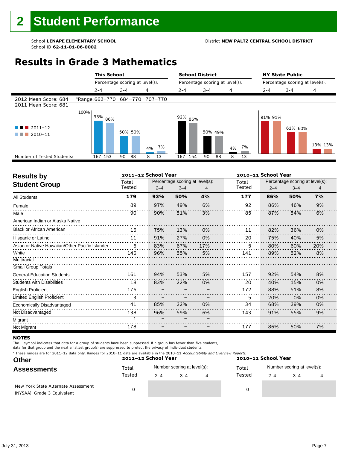## **Results in Grade 3 Mathematics**

|                                              | <b>This School</b>              |                                 |          | <b>School District</b>          |          |          | <b>NY State Public</b>          |         |         |
|----------------------------------------------|---------------------------------|---------------------------------|----------|---------------------------------|----------|----------|---------------------------------|---------|---------|
|                                              |                                 | Percentage scoring at level(s): |          | Percentage scoring at level(s): |          |          | Percentage scoring at level(s): |         |         |
|                                              | $2 - 4$                         | $3 - 4$                         | 4        | $2 - 4$                         | $3 - 4$  | 4        | 2-4                             | $3 - 4$ | 4       |
| 2012 Mean Score: 684<br>2011 Mean Score: 681 | *Range: 662-770 684-770 707-770 |                                 |          |                                 |          |          |                                 |         |         |
| $2011 - 12$<br>a sa Ba<br>2010-11            | 100%<br>93% 86%                 | 50% 50%                         | 7%<br>4% | l 92% <sub>86%</sub>            | 50% 49%  | 7%<br>4% | 91% 91%                         | 61% 60% | 13% 13% |
| Number of Tested Students:                   | 167 153                         | 88<br>90                        | 8<br>13  | 154<br>167                      | 88<br>90 | 13<br>8  |                                 |         |         |
|                                              |                                 |                                 |          |                                 |          |          |                                 |         |         |

| <b>Results by</b>                               |        | 2011-12 School Year |                                 |     |        | 2010-11 School Year |                                 |     |  |
|-------------------------------------------------|--------|---------------------|---------------------------------|-----|--------|---------------------|---------------------------------|-----|--|
| <b>Student Group</b>                            | Total  |                     | Percentage scoring at level(s): |     |        |                     | Percentage scoring at level(s): |     |  |
|                                                 | Tested | $2 - 4$             | $3 - 4$                         | 4   | Tested | $2 - 4$             | $3 - 4$                         | 4   |  |
| <b>All Students</b>                             | 179    | 93%                 | 50%                             | 4%  | 177    | 86%                 | 50%                             | 7%  |  |
| Female                                          | 89     | 97%                 | 49%                             | 6%  | 92     | 86%                 | 46%                             | 9%  |  |
| Male                                            | 90     | 90%                 | 51%                             | 3%  | 85     | 87%                 | 54%                             | 6%  |  |
| American Indian or Alaska Native                |        |                     |                                 |     |        |                     |                                 |     |  |
| <b>Black or African American</b>                | 16     | 75%                 | 13%                             | 0%  | 11     | 82%                 | 36%                             | 0%  |  |
| Hispanic or Latino                              | 11     | 91%                 | 27%                             | 0%  | 20     | 75%                 | 40%                             | 5%  |  |
| Asian or Native Hawaiian/Other Pacific Islander | 6      | 83%                 | 67%                             | 17% | 5      | 80%                 | 60%                             | 20% |  |
| White                                           | 146    | 96%                 | 55%                             | 5%  | 141    | 89%                 | 52%                             | 8%  |  |
| Multiracial                                     |        |                     |                                 |     |        |                     |                                 |     |  |
| Small Group Totals                              |        |                     |                                 |     |        |                     |                                 |     |  |
| <b>General-Education Students</b>               | 161    | 94%                 | 53%                             | 5%  | 157    | 92%                 | 54%                             | 8%  |  |
| <b>Students with Disabilities</b>               | 18     | 83%                 | 22%                             | 0%  | 20     | 40%                 | 15%                             | 0%  |  |
| <b>English Proficient</b>                       | 176    |                     |                                 |     | 172    | 88%                 | 51%                             | 8%  |  |
| Limited English Proficient                      | 3      |                     |                                 |     | 5      | 20%                 | 0%                              | 0%  |  |
| Economically Disadvantaged                      | 41     | 85%                 | 22%                             | 0%  | 34     | 68%                 | 29%                             | 0%  |  |
| Not Disadvantaged                               | 138    | 96%                 | 59%                             | 6%  | 143    | 91%                 | 55%                             | 9%  |  |
| Migrant                                         | 1      |                     |                                 |     |        |                     |                                 |     |  |
| Not Migrant                                     | 178    |                     |                                 |     | 177    | 86%                 | 50%                             | 7%  |  |

#### **NOTES**

The – symbol indicates that data for a group of students have been suppressed. If a group has fewer than five students,

| <b>Other</b>                                                       |        | 2011-12 School Year         |         |  | 2010-11 School Year |                             |         |  |  |
|--------------------------------------------------------------------|--------|-----------------------------|---------|--|---------------------|-----------------------------|---------|--|--|
| <b>Assessments</b>                                                 | Total  | Number scoring at level(s): |         |  | Total               | Number scoring at level(s): |         |  |  |
|                                                                    | Tested | $2 - 4$                     | $3 - 4$ |  | Tested              | $2 - 4$                     | $3 - 4$ |  |  |
| New York State Alternate Assessment<br>(NYSAA): Grade 3 Equivalent |        |                             |         |  |                     |                             |         |  |  |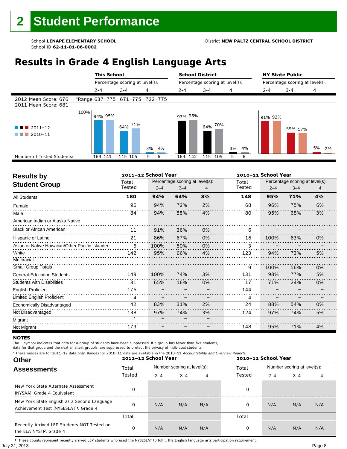## **Results in Grade 4 English Language Arts**

|                                               |      | <b>This School</b><br>Percentage scoring at level(s): |                                 |          | <b>School District</b> |                                 |          | <b>NY State Public</b>          |         |          |  |
|-----------------------------------------------|------|-------------------------------------------------------|---------------------------------|----------|------------------------|---------------------------------|----------|---------------------------------|---------|----------|--|
|                                               |      |                                                       |                                 |          |                        | Percentage scoring at level(s): |          | Percentage scoring at level(s): |         |          |  |
|                                               |      | $2 - 4$                                               | $3 - 4$                         | 4        | $2 - 4$                | $3 - 4$                         | 4        | $2 - 4$                         | $3 - 4$ | 4        |  |
| 2012 Mean Score: 676<br>2011 Mean Score: 681  |      |                                                       | *Range: 637-775 671-775 722-775 |          |                        |                                 |          |                                 |         |          |  |
| $\blacksquare$ 2011-12<br>2010-11<br>a sa Tan | 100% | 94% 95%                                               | 64% 71%                         | 3%<br>4% | 93% 95%                | 70%<br>64%                      | 3%<br>4% | 91% 92%                         | 59% 57% | 5%<br>2% |  |
| Number of Tested Students:                    |      | 169 141                                               | 115 105                         | 6<br>5.  | 142<br>169             | 115<br>105                      | 6<br>5   |                                 |         |          |  |
|                                               |      |                                                       |                                 |          |                        |                                 |          |                                 |         |          |  |

| <b>Results by</b>                               |                 | 2011-12 School Year |                                            |    |                 | 2010-11 School Year                                   |     |    |  |  |
|-------------------------------------------------|-----------------|---------------------|--------------------------------------------|----|-----------------|-------------------------------------------------------|-----|----|--|--|
| <b>Student Group</b>                            | Total<br>Tested | $2 - 4$             | Percentage scoring at level(s):<br>$3 - 4$ |    | Total<br>Tested | Percentage scoring at level(s):<br>$2 - 4$<br>$3 - 4$ |     | 4  |  |  |
| <b>All Students</b>                             | 180             | 94%                 | 64%                                        | 3% | 148             | 95%                                                   | 71% | 4% |  |  |
| Female                                          | 96              | 94%                 | 72%                                        | 2% | 68              | 96%                                                   | 75% | 6% |  |  |
| Male                                            | 84              | 94%                 | 55%                                        | 4% | 80              | 95%                                                   | 68% | 3% |  |  |
| American Indian or Alaska Native                |                 |                     |                                            |    |                 |                                                       |     |    |  |  |
| <b>Black or African American</b>                | 11              | 91%                 | 36%                                        | 0% | 6               |                                                       |     |    |  |  |
| Hispanic or Latino                              | 21              | 86%                 | 67%                                        | 0% | 16              | 100%                                                  | 63% | 0% |  |  |
| Asian or Native Hawaiian/Other Pacific Islander | 6               | 100%                | 50%                                        | 0% |                 |                                                       |     |    |  |  |
| White                                           | 142             | 95%                 | 66%                                        | 4% | 123             | 94%                                                   | 73% | 5% |  |  |
| Multiracial                                     |                 |                     |                                            |    |                 |                                                       |     |    |  |  |
| <b>Small Group Totals</b>                       |                 |                     |                                            |    | 9               | 100%                                                  | 56% | 0% |  |  |
| <b>General-Education Students</b>               | 149             | 100%                | 74%                                        | 3% | 131             | 98%                                                   | 77% | 5% |  |  |
| <b>Students with Disabilities</b>               | 31              | 65%                 | 16%                                        | 0% | 17              | 71%                                                   | 24% | 0% |  |  |
| <b>English Proficient</b>                       | 176             |                     |                                            |    | 144             |                                                       |     |    |  |  |
| Limited English Proficient                      | 4               |                     |                                            |    | 4               |                                                       |     |    |  |  |
| Economically Disadvantaged                      | 42              | 83%                 | 31%                                        | 2% | 24              | 88%                                                   | 54% | 0% |  |  |
| Not Disadvantaged                               | 138             | 97%                 | 74%                                        | 3% | 124             | 97%                                                   | 74% | 5% |  |  |
| Migrant                                         | 1               |                     |                                            |    |                 |                                                       |     |    |  |  |
| Not Migrant                                     | 179             |                     |                                            |    | 148             | 95%                                                   | 71% | 4% |  |  |

#### **NOTES**

The – symbol indicates that data for a group of students have been suppressed. If a group has fewer than five students,

data for that group and the next smallest group(s) are suppressed to protect the privacy of individual students.

**Other Assessments**  2011-12 School Year Number scoring at level(s): Total Number scoring at level(s): 2–4 3–4 4 2–4 3–4 4 \* These ranges are for 2011–12 data only. Ranges for 2010–11 data are available in the 2010–11 Accountability and Overview Reports. **2011–12 School Year 2010–11 School Year** Total Tested Total Tested New York State Alternate Assessment (NYSAA): Grade 4 Equivalent <sup>0</sup> <sup>0</sup> New York State English as a Second Language Achievement Test (NYSESLAT)†: Grade 4 <sup>0</sup> N/A N/A N/A <sup>0</sup> N/A N/A N/A Total Total Recently Arrived LEP Students NOT Tested on the ELA NYSTP: Grade 4 0 N/A N/A N/A 0 N/A N/A N/A

July 31, 2013 Page 8 † These counts represent recently arrived LEP students who used the NYSESLAT to fulfill the English language arts participation requirement.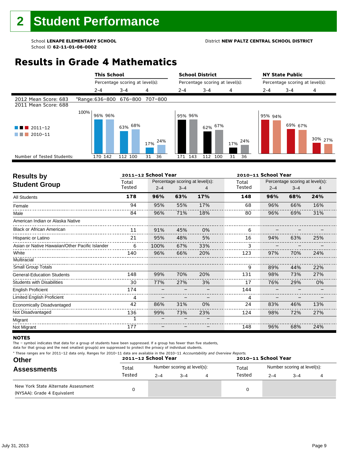#### School **LENAPE ELEMENTARY SCHOOL** District **NEW PALTZ CENTRAL SCHOOL DISTRICT**

## **Results in Grade 4 Mathematics**

|                                              |      | <b>This School</b>              |                                 |            | <b>School District</b> |                                 |            | <b>NY State Public</b>          |         |         |  |
|----------------------------------------------|------|---------------------------------|---------------------------------|------------|------------------------|---------------------------------|------------|---------------------------------|---------|---------|--|
|                                              |      |                                 | Percentage scoring at level(s): |            |                        | Percentage scoring at level(s): |            | Percentage scoring at level(s): |         |         |  |
|                                              |      | $2 - 4$                         | $3 - 4$                         | 4          | $2 - 4$                | $3 - 4$                         | 4          | 2-4                             | $3 - 4$ | 4       |  |
| 2012 Mean Score: 683<br>2011 Mean Score: 688 |      | *Range: 636-800 676-800 707-800 |                                 |            |                        |                                 |            |                                 |         |         |  |
| $2011 - 12$<br>$2010 - 11$                   | 100% | 96% 96%                         | 63% <sup>68%</sup>              | 24%<br>17% | 95% 96%                | 62% 67%                         | 24%<br>17% | 95% 94%                         | 69% 67% | 30% 27% |  |
| Number of Tested Students:                   |      | 170 142                         | 112 100                         | 36<br>31   | 171 143                | 112<br>100                      | 31<br>36   |                                 |         |         |  |
|                                              |      |                                 |                                 |            |                        |                                 |            |                                 |         |         |  |

| <b>Results by</b>                               |        | 2011-12 School Year |                                 |     |        | 2010-11 School Year |                                 |     |  |
|-------------------------------------------------|--------|---------------------|---------------------------------|-----|--------|---------------------|---------------------------------|-----|--|
| <b>Student Group</b>                            | Total  |                     | Percentage scoring at level(s): |     | Total  |                     | Percentage scoring at level(s): |     |  |
|                                                 | Tested | $2 - 4$             | $3 - 4$                         |     | Tested | $2 - 4$             | $3 - 4$                         | 4   |  |
| <b>All Students</b>                             | 178    | 96%                 | 63%                             | 17% | 148    | 96%                 | 68%                             | 24% |  |
| Female                                          | 94     | 95%                 | 55%                             | 17% | 68     | 96%                 | 66%                             | 16% |  |
| Male                                            | 84     | 96%                 | 71%                             | 18% | 80     | 96%                 | 69%                             | 31% |  |
| American Indian or Alaska Native                |        |                     |                                 |     |        |                     |                                 |     |  |
| <b>Black or African American</b>                | 11     | 91%                 | 45%                             | 0%  | 6      |                     |                                 |     |  |
| Hispanic or Latino                              | 21     | 95%                 | 48%                             | 5%  | 16     | 94%                 | 63%                             | 25% |  |
| Asian or Native Hawaiian/Other Pacific Islander | 6      | 100%                | 67%                             | 33% |        |                     |                                 |     |  |
| White                                           | 140    | 96%                 | 66%                             | 20% | 123    | 97%                 | 70%                             | 24% |  |
| Multiracial                                     |        |                     |                                 |     |        |                     |                                 |     |  |
| <b>Small Group Totals</b>                       |        |                     |                                 |     | 9      | 89%                 | 44%                             | 22% |  |
| <b>General-Education Students</b>               | 148    | 99%                 | 70%                             | 20% | 131    | 98%                 | 73%                             | 27% |  |
| <b>Students with Disabilities</b>               | 30     | 77%                 | 27%                             | 3%  | 17     | 76%                 | 29%                             | 0%  |  |
| <b>English Proficient</b>                       | 174    |                     |                                 |     | 144    |                     |                                 |     |  |
| Limited English Proficient                      | 4      |                     |                                 |     | 4      |                     |                                 |     |  |
| Economically Disadvantaged                      | 42     | 86%                 | 31%                             | 0%  | 24     | 83%                 | 46%                             | 13% |  |
| Not Disadvantaged                               | 136    | 99%                 | 73%                             | 23% | 124    | 98%                 | 72%                             | 27% |  |
| Migrant                                         | 1      |                     |                                 |     |        |                     |                                 |     |  |
| Not Migrant                                     | 177    |                     |                                 |     | 148    | 96%                 | 68%                             | 24% |  |

#### **NOTES**

The – symbol indicates that data for a group of students have been suppressed. If a group has fewer than five students,

|  |  |  | * These ranges are for 2011-12 data only. Ranges for 2010-11 data are available in the 2010-11 Accountability and Overview Reports.<br>restate the second compart of the comparator of the contract of the contract of the contract of the contract of the contract of the contract of the contract of the contract of the contract of the contract of the contract o |
|--|--|--|-----------------------------------------------------------------------------------------------------------------------------------------------------------------------------------------------------------------------------------------------------------------------------------------------------------------------------------------------------------------------|
|--|--|--|-----------------------------------------------------------------------------------------------------------------------------------------------------------------------------------------------------------------------------------------------------------------------------------------------------------------------------------------------------------------------|

| <b>Other</b>                                                       |        | 2011-12 School Year         |      |  | 2010-11 School Year |                             |         |  |  |
|--------------------------------------------------------------------|--------|-----------------------------|------|--|---------------------|-----------------------------|---------|--|--|
| <b>Assessments</b>                                                 | Total  | Number scoring at level(s): |      |  | Total               | Number scoring at level(s): |         |  |  |
|                                                                    | Tested | $2 - 4$                     | $-4$ |  | Tested              | $2 - 4$                     | $3 - 4$ |  |  |
| New York State Alternate Assessment<br>(NYSAA): Grade 4 Equivalent |        |                             |      |  | 0                   |                             |         |  |  |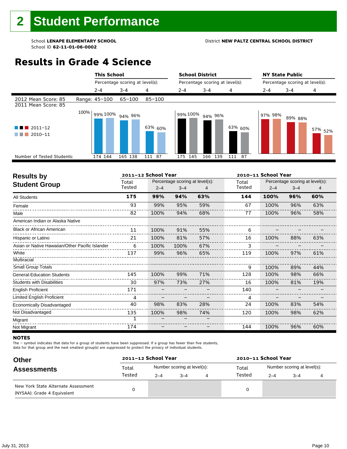#### School **LENAPE ELEMENTARY SCHOOL** District **NEW PALTZ CENTRAL SCHOOL DISTRICT**

## **Results in Grade 4 Science**

|                                                  |      | <b>This School</b><br>Percentage scoring at level(s): |         |            | <b>School District</b>          |            |           | <b>NY State Public</b>          |         |                    |  |
|--------------------------------------------------|------|-------------------------------------------------------|---------|------------|---------------------------------|------------|-----------|---------------------------------|---------|--------------------|--|
|                                                  |      |                                                       |         |            | Percentage scoring at level(s): |            |           | Percentage scoring at level(s): |         |                    |  |
|                                                  |      | $2 - 4$                                               | $3 - 4$ | 4          | $2 - 4$                         | $3 - 4$    | 4         | $2 - 4$                         | $3 - 4$ | 4                  |  |
| 2012 Mean Score: 85<br>2011 Mean Score: 85       |      | Range: 45-100                                         | 65-100  | $85 - 100$ |                                 |            |           |                                 |         |                    |  |
| $\blacksquare$ 2011-12<br><b>Tara</b><br>2010-11 | 100% | 99% 100%                                              | 94% 96% | 63% 60%    | 99% 100%                        | 94% 96%    | 63% 60%   | 97% 98%                         | 89% 88% | 57% <sub>52%</sub> |  |
| Number of Tested Students:                       |      | 174 144                                               | 165 138 | 111 87     | 175<br>145                      | 166<br>139 | 111<br>87 |                                 |         |                    |  |
|                                                  |      |                                                       |         |            |                                 |            |           |                                 |         |                    |  |

| <b>Results by</b>                               |        | 2011-12 School Year |                                 |     | 2010-11 School Year |         |                                 |     |  |
|-------------------------------------------------|--------|---------------------|---------------------------------|-----|---------------------|---------|---------------------------------|-----|--|
| <b>Student Group</b>                            | Total  |                     | Percentage scoring at level(s): |     | Total               |         | Percentage scoring at level(s): |     |  |
|                                                 | Tested | $2 - 4$             | $3 - 4$                         |     | Tested              | $2 - 4$ | $3 - 4$                         |     |  |
| <b>All Students</b>                             | 175    | 99%                 | 94%                             | 63% | 144                 | 100%    | 96%                             | 60% |  |
| Female                                          | 93     | 99%                 | 95%                             | 59% | 67                  | 100%    | 96%                             | 63% |  |
| Male                                            | 82     | 100%                | 94%                             | 68% | 77                  | 100%    | 96%                             | 58% |  |
| American Indian or Alaska Native                |        |                     |                                 |     |                     |         |                                 |     |  |
| <b>Black or African American</b>                | 11     | 100%                | 91%                             | 55% | 6                   |         |                                 |     |  |
| Hispanic or Latino                              | 21     | 100%                | 81%                             | 57% | 16                  | 100%    | 88%                             | 63% |  |
| Asian or Native Hawaiian/Other Pacific Islander | 6      | 100%                | 100%                            | 67% | 3                   |         |                                 |     |  |
| White                                           | 137    | 99%                 | 96%                             | 65% | 119                 | 100%    | 97%                             | 61% |  |
| Multiracial                                     |        |                     |                                 |     |                     |         |                                 |     |  |
| <b>Small Group Totals</b>                       |        |                     |                                 |     | 9                   | 100%    | 89%                             | 44% |  |
| <b>General-Education Students</b>               | 145    | 100%                | 99%                             | 71% | 128                 | 100%    | 98%                             | 66% |  |
| <b>Students with Disabilities</b>               | 30     | 97%                 | 73%                             | 27% | 16                  | 100%    | 81%                             | 19% |  |
| <b>English Proficient</b>                       | 171    |                     |                                 |     | 140                 |         |                                 |     |  |
| Limited English Proficient                      | 4      |                     |                                 |     | 4                   |         |                                 |     |  |
| Economically Disadvantaged                      | 40     | 98%                 | 83%                             | 28% | 24                  | 100%    | 83%                             | 54% |  |
| Not Disadvantaged                               | 135    | 100%                | 98%                             | 74% | 120                 | 100%    | 98%                             | 62% |  |
| Migrant                                         | 1      |                     |                                 |     |                     |         |                                 |     |  |
| Not Migrant                                     | 174    |                     |                                 |     | 144                 | 100%    | 96%                             | 60% |  |

#### **NOTES**

The – symbol indicates that data for a group of students have been suppressed. If a group has fewer than five students,

| <b>Other</b>                                                       | 2011-12 School Year |                             |         |  | 2010-11 School Year |                             |         |  |  |
|--------------------------------------------------------------------|---------------------|-----------------------------|---------|--|---------------------|-----------------------------|---------|--|--|
| <b>Assessments</b>                                                 | Total               | Number scoring at level(s): |         |  | Total               | Number scoring at level(s): |         |  |  |
|                                                                    | Tested              | $2 - 4$                     | $3 - 4$ |  | Tested              | $2 - 4$                     | $3 - 4$ |  |  |
| New York State Alternate Assessment<br>(NYSAA): Grade 4 Equivalent |                     |                             |         |  |                     |                             |         |  |  |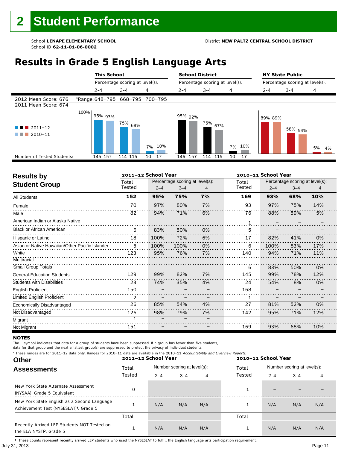## **Results in Grade 5 English Language Arts**

|                                                    |      | <b>This School</b><br>Percentage scoring at level(s): |                                 |           | <b>School District</b> |                                 |           | <b>NY State Public</b>          |         |          |  |
|----------------------------------------------------|------|-------------------------------------------------------|---------------------------------|-----------|------------------------|---------------------------------|-----------|---------------------------------|---------|----------|--|
|                                                    |      |                                                       |                                 |           |                        | Percentage scoring at level(s): |           | Percentage scoring at level(s): |         |          |  |
|                                                    |      | $2 - 4$                                               | $3 - 4$                         | 4         | $2 - 4$                | $3 - 4$                         | 4         | $2 - 4$                         | $3 - 4$ | 4        |  |
| 2012 Mean Score: 676<br>2011 Mean Score: 674       |      |                                                       | *Range: 648-795 668-795 700-795 |           |                        |                                 |           |                                 |         |          |  |
| $\blacksquare$ 2011-12<br>and the state<br>2010-11 | 100% | 95% 93%                                               | 75% <sub>68%</sub>              | 10%<br>7% | 95% 92%                | 75%<br>67%                      | 10%<br>7% | 89% 89%                         | 58% 54% | 5%<br>4% |  |
| Number of Tested Students:                         |      | 145 157                                               | 114 115                         | 17<br>10  | 157<br>146             | 115<br>114                      | 10<br>17  |                                 |         |          |  |
|                                                    |      |                                                       |                                 |           |                        |                                 |           |                                 |         |          |  |

| <b>Results by</b>                               |        | 2011-12 School Year |                                 |    |        | 2010-11 School Year |                                 |     |
|-------------------------------------------------|--------|---------------------|---------------------------------|----|--------|---------------------|---------------------------------|-----|
| <b>Student Group</b>                            | Total  |                     | Percentage scoring at level(s): |    | Total  |                     | Percentage scoring at level(s): |     |
|                                                 | Tested | $2 - 4$             | $3 - 4$                         |    | Tested | $2 - 4$             | $3 - 4$                         | 4   |
| <b>All Students</b>                             | 152    | 95%                 | 75%                             | 7% | 169    | 93%                 | 68%                             | 10% |
| Female                                          | 70     | 97%                 | 80%                             | 7% | 93     | 97%                 | 75%                             | 14% |
| Male                                            | 82     | 94%                 | 71%                             | 6% | 76     | 88%                 | 59%                             | 5%  |
| American Indian or Alaska Native                |        |                     |                                 |    | 1      |                     |                                 |     |
| <b>Black or African American</b>                | 6      | 83%                 | 50%                             | 0% | 5      |                     |                                 |     |
| Hispanic or Latino                              | 18     | 100%                | 72%                             | 6% | 17     | 82%                 | 41%                             | 0%  |
| Asian or Native Hawaiian/Other Pacific Islander | 5      | 100%                | 100%                            | 0% | 6      | 100%                | 83%                             | 17% |
| White                                           | 123    | 95%                 | 76%                             | 7% | 140    | 94%                 | 71%                             | 11% |
| Multiracial                                     |        |                     |                                 |    |        |                     |                                 |     |
| <b>Small Group Totals</b>                       |        |                     |                                 |    | 6      | 83%                 | 50%                             | 0%  |
| <b>General-Education Students</b>               | 129    | 99%                 | 82%                             | 7% | 145    | 99%                 | 78%                             | 12% |
| <b>Students with Disabilities</b>               | 23     | 74%                 | 35%                             | 4% | 24     | 54%                 | 8%                              | 0%  |
| <b>English Proficient</b>                       | 150    |                     |                                 |    | 168    |                     |                                 |     |
| Limited English Proficient                      | 2      |                     |                                 |    |        |                     |                                 |     |
| Economically Disadvantaged                      | 26     | 85%                 | 54%                             | 4% | 27     | 81%                 | 52%                             | 0%  |
| Not Disadvantaged                               | 126    | 98%                 | 79%                             | 7% | 142    | 95%                 | 71%                             | 12% |
| Migrant                                         |        |                     |                                 |    |        |                     |                                 |     |
| Not Migrant                                     | 151    |                     |                                 |    | 169    | 93%                 | 68%                             | 10% |

#### **NOTES**

The – symbol indicates that data for a group of students have been suppressed. If a group has fewer than five students,

data for that group and the next smallest group(s) are suppressed to protect the privacy of individual students.

**Other Assessments**  2011-12 School Year Number scoring at level(s): Total Number scoring at level(s): 2–4 3–4 4 2–4 3–4 4 \* These ranges are for 2011–12 data only. Ranges for 2010–11 data are available in the 2010–11 Accountability and Overview Reports. **2011–12 School Year 2010–11 School Year** Total Tested Total Tested New York State Alternate Assessment (NYSAA): Grade 5 Equivalent <sup>0</sup> <sup>1</sup> – – – New York State English as a Second Language Achievement Test (NYSESLAT)†: Grade 5 <sup>1</sup> N/A N/A N/A <sup>1</sup> N/A N/A N/A Total Total Recently Arrived LEP Students NOT Tested on the ELA NYSTP: Grade 5 1 N/A N/A N/A 1 N/A N/A N/A

July 31, 2013 Page 11 † These counts represent recently arrived LEP students who used the NYSESLAT to fulfill the English language arts participation requirement.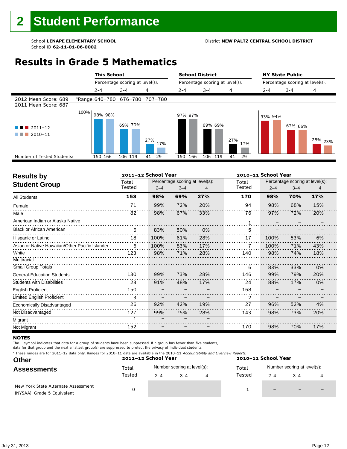#### School **LENAPE ELEMENTARY SCHOOL** District **NEW PALTZ CENTRAL SCHOOL DISTRICT**

## **Results in Grade 5 Mathematics**

|                                              | <b>This School</b>              |                                 |            | <b>School District</b> |                                 |            |         | <b>NY State Public</b>          |                    |
|----------------------------------------------|---------------------------------|---------------------------------|------------|------------------------|---------------------------------|------------|---------|---------------------------------|--------------------|
|                                              |                                 | Percentage scoring at level(s): |            |                        | Percentage scoring at level(s): |            |         | Percentage scoring at level(s): |                    |
|                                              | $2 - 4$                         | $3 - 4$                         | 4          | $2 - 4$                | $3 - 4$                         | 4          | 2-4     | $3 - 4$                         | 4                  |
| 2012 Mean Score: 689<br>2011 Mean Score: 687 | *Range: 640-780 676-780 707-780 |                                 |            |                        |                                 |            |         |                                 |                    |
| $2011 - 12$<br>4 D I<br>$2010 - 11$          | 100%<br>98% 98%                 | 69% 70%                         | 27%<br>17% | 97% 97%                | 69% 69%                         | 27%<br>17% | 93% 94% | 67% 66%                         | <sup>28%</sup> 23% |
| Number of Tested Students:                   | 150 166                         | 106 119                         | 41<br>29   | 166<br>150             | 106 119                         | 41<br>29   |         |                                 |                    |
|                                              |                                 |                                 |            |                        |                                 |            |         |                                 |                    |

| <b>Results by</b>                               |        | 2011-12 School Year |                                 |     |        | 2010-11 School Year |                                 |     |  |
|-------------------------------------------------|--------|---------------------|---------------------------------|-----|--------|---------------------|---------------------------------|-----|--|
| <b>Student Group</b>                            | Total  |                     | Percentage scoring at level(s): |     | Total  |                     | Percentage scoring at level(s): |     |  |
|                                                 | Tested | $2 - 4$             | $3 - 4$                         | 4   | Tested | $2 - 4$             | $3 - 4$                         | 4   |  |
| <b>All Students</b>                             | 153    | 98%                 | 69%                             | 27% | 170    | 98%                 | 70%                             | 17% |  |
| Female                                          | 71     | 99%                 | 72%                             | 20% | 94     | 98%                 | 68%                             | 15% |  |
| Male                                            | 82     | 98%                 | 67%                             | 33% | 76     | 97%                 | 72%                             | 20% |  |
| American Indian or Alaska Native                |        |                     |                                 |     |        |                     |                                 |     |  |
| <b>Black or African American</b>                | 6      | 83%                 | 50%                             | 0%  | 5      |                     |                                 |     |  |
| Hispanic or Latino                              | 18     | 100%                | 61%                             | 28% | 17     | 100%                | 53%                             | 6%  |  |
| Asian or Native Hawaiian/Other Pacific Islander | 6      | 100%                | 83%                             | 17% |        | 100%                | 71%                             | 43% |  |
| White                                           | 123    | 98%                 | 71%                             | 28% | 140    | 98%                 | 74%                             | 18% |  |
| Multiracial                                     |        |                     |                                 |     |        |                     |                                 |     |  |
| Small Group Totals                              |        |                     |                                 |     | 6      | 83%                 | 33%                             | 0%  |  |
| <b>General-Education Students</b>               | 130    | 99%                 | 73%                             | 28% | 146    | 99%                 | 79%                             | 20% |  |
| <b>Students with Disabilities</b>               | 23     | 91%                 | 48%                             | 17% | 24     | 88%                 | 17%                             | 0%  |  |
| <b>English Proficient</b>                       | 150    |                     |                                 |     | 168    |                     |                                 |     |  |
| Limited English Proficient                      | 3      |                     |                                 |     | 2      |                     |                                 |     |  |
| Economically Disadvantaged                      | 26     | 92%                 | 42%                             | 19% | 27     | 96%                 | 52%                             | 4%  |  |
| Not Disadvantaged                               | 127    | 99%                 | 75%                             | 28% | 143    | 98%                 | 73%                             | 20% |  |
| Migrant                                         |        |                     |                                 |     |        |                     |                                 |     |  |
| Not Migrant                                     | 152    |                     |                                 |     | 170    | 98%                 | 70%                             | 17% |  |

#### **NOTES**

The – symbol indicates that data for a group of students have been suppressed. If a group has fewer than five students,

|  | * These ranges are for 2011-12 data only. Ranges for 2010-11 data are available in the 2010-11 Accountability and Overview Reports. |
|--|-------------------------------------------------------------------------------------------------------------------------------------|
|--|-------------------------------------------------------------------------------------------------------------------------------------|

| <b>Other</b>                                                       |        | 2011-12 School Year         |         |  | 2010-11 School Year<br>Total<br>Tested<br>$2 - 4$<br>$\qquad \qquad -$ |                             |                          |  |
|--------------------------------------------------------------------|--------|-----------------------------|---------|--|------------------------------------------------------------------------|-----------------------------|--------------------------|--|
| <b>Assessments</b>                                                 | Total  | Number scoring at level(s): |         |  |                                                                        | Number scoring at level(s): |                          |  |
|                                                                    | Tested | $2 - 4$                     | $3 - 4$ |  |                                                                        | $3 - 4$                     |                          |  |
| New York State Alternate Assessment<br>(NYSAA): Grade 5 Equivalent |        |                             |         |  |                                                                        | $\overline{\phantom{0}}$    | $\overline{\phantom{0}}$ |  |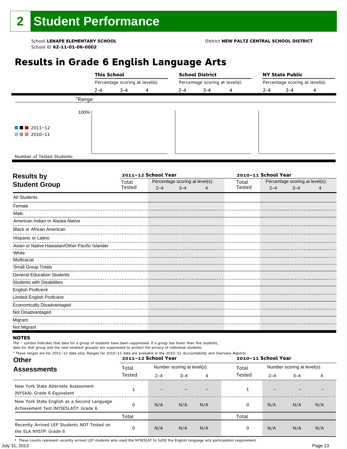## **Results in Grade 6 English Language Arts**

|                            | <b>This School</b> |                                 |   |         | <b>School District</b>          |   |         | <b>NY State Public</b>          |   |  |  |
|----------------------------|--------------------|---------------------------------|---|---------|---------------------------------|---|---------|---------------------------------|---|--|--|
|                            |                    | Percentage scoring at level(s): |   |         | Percentage scoring at level(s): |   |         | Percentage scoring at level(s): |   |  |  |
|                            | $2 - 4$            | $3 - 4$                         | 4 | $2 - 4$ | $3 - 4$                         | 4 | $2 - 4$ | $3 - 4$                         | 4 |  |  |
|                            | *Range:            |                                 |   |         |                                 |   |         |                                 |   |  |  |
|                            | 100%               |                                 |   |         |                                 |   |         |                                 |   |  |  |
| $\blacksquare$ 2011-12     |                    |                                 |   |         |                                 |   |         |                                 |   |  |  |
| $\blacksquare$ 2010-11     |                    |                                 |   |         |                                 |   |         |                                 |   |  |  |
|                            |                    |                                 |   |         |                                 |   |         |                                 |   |  |  |
| Number of Tested Students: |                    |                                 |   |         |                                 |   |         |                                 |   |  |  |

٦

| <b>Results by</b>                               |        | 2011-12 School Year |                                 |        | 2010-11 School Year |                                 |  |
|-------------------------------------------------|--------|---------------------|---------------------------------|--------|---------------------|---------------------------------|--|
| <b>Student Group</b>                            | Total  |                     | Percentage scoring at level(s): | Total  |                     | Percentage scoring at level(s): |  |
|                                                 | Tested | $2 - 4$             | $3 - 4$                         | Tested | $2 - 4$             | $3 - 4$                         |  |
| <b>All Students</b>                             |        |                     |                                 |        |                     |                                 |  |
| Female                                          |        |                     |                                 |        |                     |                                 |  |
| Male                                            |        |                     |                                 |        |                     |                                 |  |
| American Indian or Alaska Native                |        |                     |                                 |        |                     |                                 |  |
| <b>Black or African American</b>                |        |                     |                                 |        |                     |                                 |  |
| Hispanic or Latino                              |        |                     |                                 |        |                     |                                 |  |
| Asian or Native Hawaiian/Other Pacific Islander |        |                     |                                 |        |                     |                                 |  |
| White                                           |        |                     |                                 |        |                     |                                 |  |
| <b>Multiracial</b>                              |        |                     |                                 |        |                     |                                 |  |
| Small Group Totals                              |        |                     |                                 |        |                     |                                 |  |
| <b>General-Education Students</b>               |        |                     |                                 |        |                     |                                 |  |
| <b>Students with Disabilities</b>               |        |                     |                                 |        |                     |                                 |  |
| <b>English Proficient</b>                       |        |                     |                                 |        |                     |                                 |  |
| <b>Limited English Proficient</b>               |        |                     |                                 |        |                     |                                 |  |
| Economically Disadvantaged                      |        |                     |                                 |        |                     |                                 |  |
| Not Disadvantaged                               |        |                     |                                 |        |                     |                                 |  |
| Migrant                                         |        |                     |                                 |        |                     |                                 |  |
| Not Migrant                                     |        |                     |                                 |        |                     |                                 |  |

#### **NOTES**

The – symbol indicates that data for a group of students have been suppressed. If a group has fewer than five students,

data for that group and the next smallest group(s) are suppressed to protect the privacy of individual students. \* These ranges are for 2011–12 data only. Ranges for 2010–11 data are available in the 2010–11 Accountability and Overview Reports.

| THESE TRINGES ARE TOT ZUIT IZ GATA UNIV. NAHGES TOT ZUID II GATA ARE AVAILABLE IN THE ZUID II ACCOUNTABLILY AND OVERVIEW NEDOLDS.<br><b>Other</b> |        | 2011-12 School Year         |         |     |        | 2010-11 School Year |         |                             |  |  |
|---------------------------------------------------------------------------------------------------------------------------------------------------|--------|-----------------------------|---------|-----|--------|---------------------|---------|-----------------------------|--|--|
| <b>Assessments</b>                                                                                                                                | Total  | Number scoring at level(s): |         |     | Total  |                     |         | Number scoring at level(s): |  |  |
|                                                                                                                                                   | Tested | $2 - 4$                     | $3 - 4$ | 4   | Tested | $2 - 4$             | $3 - 4$ | 4                           |  |  |
| New York State Alternate Assessment<br>(NYSAA): Grade 6 Equivalent                                                                                |        |                             |         |     |        |                     |         |                             |  |  |
| New York State English as a Second Language<br>Achievement Test (NYSESLAT) <sup>+</sup> : Grade 6                                                 |        | N/A                         | N/A     | N/A | 0      | N/A                 | N/A     | N/A                         |  |  |
|                                                                                                                                                   | Total  |                             |         |     | Total  |                     |         |                             |  |  |
| Recently Arrived LEP Students NOT Tested on<br>the ELA NYSTP: Grade 6                                                                             |        | N/A                         | N/A     | N/A | 0      | N/A                 | N/A     | N/A                         |  |  |

July 31, 2013 Page 13 † These counts represent recently arrived LEP students who used the NYSESLAT to fulfill the English language arts participation requirement.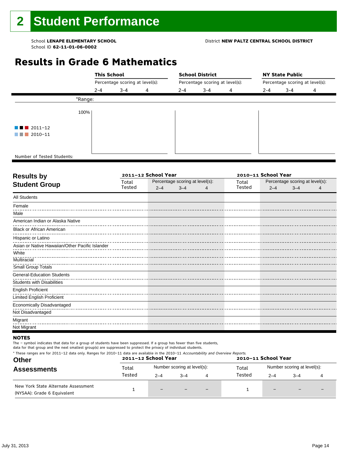## **Results in Grade 6 Mathematics**

|                            | <b>This School</b>              |         |   |         | <b>School District</b> |   |                                 | <b>NY State Public</b> |   |                                 |  |  |
|----------------------------|---------------------------------|---------|---|---------|------------------------|---|---------------------------------|------------------------|---|---------------------------------|--|--|
|                            | Percentage scoring at level(s): |         |   |         |                        |   | Percentage scoring at level(s): |                        |   | Percentage scoring at level(s): |  |  |
|                            | $2 - 4$                         | $3 - 4$ | 4 | $2 - 4$ | $3 - 4$                | 4 | $2 - 4$                         | $3 - 4$                | 4 |                                 |  |  |
| *Range:                    |                                 |         |   |         |                        |   |                                 |                        |   |                                 |  |  |
| 100%                       |                                 |         |   |         |                        |   |                                 |                        |   |                                 |  |  |
| $\blacksquare$ 2011-12     |                                 |         |   |         |                        |   |                                 |                        |   |                                 |  |  |
| $\blacksquare$ 2010-11     |                                 |         |   |         |                        |   |                                 |                        |   |                                 |  |  |
|                            |                                 |         |   |         |                        |   |                                 |                        |   |                                 |  |  |
| Number of Tested Students: |                                 |         |   |         |                        |   |                                 |                        |   |                                 |  |  |

٦

| Total  |         |         |                     | Total                           |         |         |                                                        |
|--------|---------|---------|---------------------|---------------------------------|---------|---------|--------------------------------------------------------|
| Tested | $2 - 4$ | $3 - 4$ | 4                   | Tested                          | $2 - 4$ | $3 - 4$ |                                                        |
|        |         |         |                     |                                 |         |         |                                                        |
|        |         |         |                     |                                 |         |         |                                                        |
|        |         |         |                     |                                 |         |         |                                                        |
|        |         |         |                     |                                 |         |         |                                                        |
|        |         |         |                     |                                 |         |         |                                                        |
|        |         |         |                     |                                 |         |         |                                                        |
|        |         |         |                     |                                 |         |         |                                                        |
|        |         |         |                     |                                 |         |         |                                                        |
|        |         |         |                     |                                 |         |         |                                                        |
|        |         |         |                     |                                 |         |         |                                                        |
|        |         |         |                     |                                 |         |         |                                                        |
|        |         |         |                     |                                 |         |         |                                                        |
|        |         |         |                     |                                 |         |         |                                                        |
|        |         |         |                     |                                 |         |         |                                                        |
|        |         |         |                     |                                 |         |         |                                                        |
|        |         |         |                     |                                 |         |         |                                                        |
|        |         |         |                     |                                 |         |         |                                                        |
|        |         |         |                     |                                 |         |         |                                                        |
|        |         |         | 2011-12 School Year | Percentage scoring at level(s): |         |         | 2010-11 School Year<br>Percentage scoring at level(s): |

#### **NOTES**

The – symbol indicates that data for a group of students have been suppressed. If a group has fewer than five students,

| <b>Other</b>                                                       |        | * These ranges are for 2011–12 data only. Ranges for 2010–11 data are available in the 2010–11 Accountability and Overview Reports.<br>2011-12 School Year<br>2010-11 School Year |                             |     |        |                          |                             |  |  |  |
|--------------------------------------------------------------------|--------|-----------------------------------------------------------------------------------------------------------------------------------------------------------------------------------|-----------------------------|-----|--------|--------------------------|-----------------------------|--|--|--|
| <b>Assessments</b>                                                 | Total  |                                                                                                                                                                                   | Number scoring at level(s): |     | Total  |                          | Number scoring at level(s): |  |  |  |
|                                                                    | Tested | $2 - 4$                                                                                                                                                                           | $3 - 4$                     |     | Tested | $2 - 4$                  | $-4$                        |  |  |  |
| New York State Alternate Assessment<br>(NYSAA): Grade 6 Equivalent |        |                                                                                                                                                                                   |                             | $-$ |        | $\overline{\phantom{0}}$ |                             |  |  |  |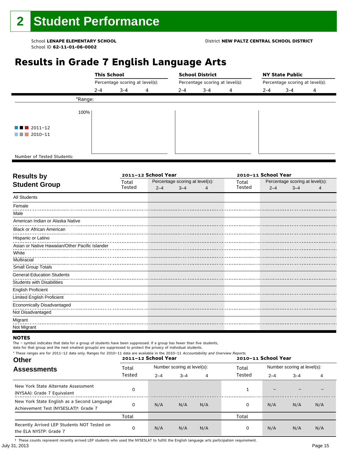## **Results in Grade 7 English Language Arts**

|                            | <b>This School</b> |                                 |   |         | <b>School District</b>          |   |         | <b>NY State Public</b>          |   |  |  |
|----------------------------|--------------------|---------------------------------|---|---------|---------------------------------|---|---------|---------------------------------|---|--|--|
|                            |                    | Percentage scoring at level(s): |   |         | Percentage scoring at level(s): |   |         | Percentage scoring at level(s): |   |  |  |
|                            | $2 - 4$            | $3 - 4$                         | 4 | $2 - 4$ | $3 - 4$                         | 4 | $2 - 4$ | $3 - 4$                         | 4 |  |  |
|                            | *Range:            |                                 |   |         |                                 |   |         |                                 |   |  |  |
|                            | 100%               |                                 |   |         |                                 |   |         |                                 |   |  |  |
| $\blacksquare$ 2011-12     |                    |                                 |   |         |                                 |   |         |                                 |   |  |  |
| $\blacksquare$ 2010-11     |                    |                                 |   |         |                                 |   |         |                                 |   |  |  |
|                            |                    |                                 |   |         |                                 |   |         |                                 |   |  |  |
| Number of Tested Students: |                    |                                 |   |         |                                 |   |         |                                 |   |  |  |

٦

| <b>Results by</b>                               |        | 2011-12 School Year |                                 | 2010-11 School Year |        |                                 |         |  |  |  |
|-------------------------------------------------|--------|---------------------|---------------------------------|---------------------|--------|---------------------------------|---------|--|--|--|
| <b>Student Group</b>                            | Total  |                     | Percentage scoring at level(s): |                     | Total  | Percentage scoring at level(s): |         |  |  |  |
|                                                 | Tested | $2 - 4$             | $3 - 4$                         |                     | Tested | $2 - 4$                         | $3 - 4$ |  |  |  |
| <b>All Students</b>                             |        |                     |                                 |                     |        |                                 |         |  |  |  |
| Female                                          |        |                     |                                 |                     |        |                                 |         |  |  |  |
| Male                                            |        |                     |                                 |                     |        |                                 |         |  |  |  |
| American Indian or Alaska Native                |        |                     |                                 |                     |        |                                 |         |  |  |  |
| <b>Black or African American</b>                |        |                     |                                 |                     |        |                                 |         |  |  |  |
| Hispanic or Latino                              |        |                     |                                 |                     |        |                                 |         |  |  |  |
| Asian or Native Hawaiian/Other Pacific Islander |        |                     |                                 |                     |        |                                 |         |  |  |  |
| White                                           |        |                     |                                 |                     |        |                                 |         |  |  |  |
| <b>Multiracial</b>                              |        |                     |                                 |                     |        |                                 |         |  |  |  |
| Small Group Totals                              |        |                     |                                 |                     |        |                                 |         |  |  |  |
| <b>General-Education Students</b>               |        |                     |                                 |                     |        |                                 |         |  |  |  |
| <b>Students with Disabilities</b>               |        |                     |                                 |                     |        |                                 |         |  |  |  |
| <b>English Proficient</b>                       |        |                     |                                 |                     |        |                                 |         |  |  |  |
| <b>Limited English Proficient</b>               |        |                     |                                 |                     |        |                                 |         |  |  |  |
| Economically Disadvantaged                      |        |                     |                                 |                     |        |                                 |         |  |  |  |
| Not Disadvantaged                               |        |                     |                                 |                     |        |                                 |         |  |  |  |
| Migrant                                         |        |                     |                                 |                     |        |                                 |         |  |  |  |
| Not Migrant                                     |        |                     |                                 |                     |        |                                 |         |  |  |  |

#### **NOTES**

The – symbol indicates that data for a group of students have been suppressed. If a group has fewer than five students,

data for that group and the next smallest group(s) are suppressed to protect the privacy of individual students. \* These ranges are for 2011–12 data only. Ranges for 2010–11 data are available in the 2010–11 Accountability and Overview Reports.

| THESE TRINGES ARE TOT ZUIT IZ GATA UNIV. NAHGES TOT ZUID II GATA ARE AVAILABLE IN THE ZUID II ACCOUNTABLILY AND OVERVIEW NEDOLDS.<br><b>Other</b> |        | 2011-12 School Year |                             |     | 2010-11 School Year |                             |         |     |  |  |
|---------------------------------------------------------------------------------------------------------------------------------------------------|--------|---------------------|-----------------------------|-----|---------------------|-----------------------------|---------|-----|--|--|
| <b>Assessments</b>                                                                                                                                | Total  |                     | Number scoring at level(s): |     | Total               | Number scoring at level(s): |         |     |  |  |
|                                                                                                                                                   | Tested | $2 - 4$             | $3 - 4$                     | 4   | Tested              | $2 - 4$                     | $3 - 4$ | 4   |  |  |
| New York State Alternate Assessment<br>(NYSAA): Grade 7 Equivalent                                                                                |        |                     |                             |     |                     |                             |         |     |  |  |
| New York State English as a Second Language<br>Achievement Test (NYSESLAT) <sup>+</sup> : Grade 7                                                 |        | N/A                 | N/A                         | N/A | 0                   | N/A                         | N/A     | N/A |  |  |
|                                                                                                                                                   | Total  |                     |                             |     | Total               |                             |         |     |  |  |
| Recently Arrived LEP Students NOT Tested on<br>the ELA NYSTP: Grade 7                                                                             |        | N/A                 | N/A                         | N/A | 0                   | N/A                         | N/A     | N/A |  |  |

July 31, 2013 Page 15 † These counts represent recently arrived LEP students who used the NYSESLAT to fulfill the English language arts participation requirement.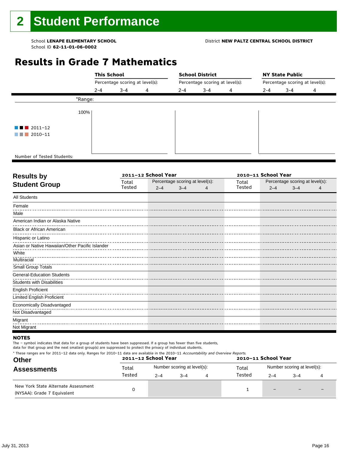## **Results in Grade 7 Mathematics**

|                            | <b>This School</b><br>Percentage scoring at level(s): |         |   |         | <b>School District</b>          |   | <b>NY State Public</b>          |         |   |  |  |
|----------------------------|-------------------------------------------------------|---------|---|---------|---------------------------------|---|---------------------------------|---------|---|--|--|
|                            |                                                       |         |   |         | Percentage scoring at level(s): |   | Percentage scoring at level(s): |         |   |  |  |
|                            | $2 - 4$                                               | $3 - 4$ | 4 | $2 - 4$ | $3 - 4$                         | 4 | $2 - 4$                         | $3 - 4$ | 4 |  |  |
| *Range:                    |                                                       |         |   |         |                                 |   |                                 |         |   |  |  |
| 100%                       |                                                       |         |   |         |                                 |   |                                 |         |   |  |  |
| $\blacksquare$ 2011-12     |                                                       |         |   |         |                                 |   |                                 |         |   |  |  |
| $\blacksquare$ 2010-11     |                                                       |         |   |         |                                 |   |                                 |         |   |  |  |
|                            |                                                       |         |   |         |                                 |   |                                 |         |   |  |  |
| Number of Tested Students: |                                                       |         |   |         |                                 |   |                                 |         |   |  |  |

٦

| Total  |         |         |                     | Total                           | Percentage scoring at level(s): |  |                     |  |  |
|--------|---------|---------|---------------------|---------------------------------|---------------------------------|--|---------------------|--|--|
| Tested | $2 - 4$ | $3 - 4$ | 4                   | Tested                          | $2 - 4$<br>$3 - 4$              |  |                     |  |  |
|        |         |         |                     |                                 |                                 |  |                     |  |  |
|        |         |         |                     |                                 |                                 |  |                     |  |  |
|        |         |         |                     |                                 |                                 |  |                     |  |  |
|        |         |         |                     |                                 |                                 |  |                     |  |  |
|        |         |         |                     |                                 |                                 |  |                     |  |  |
|        |         |         |                     |                                 |                                 |  |                     |  |  |
|        |         |         |                     |                                 |                                 |  |                     |  |  |
|        |         |         |                     |                                 |                                 |  |                     |  |  |
|        |         |         |                     |                                 |                                 |  |                     |  |  |
|        |         |         |                     |                                 |                                 |  |                     |  |  |
|        |         |         |                     |                                 |                                 |  |                     |  |  |
|        |         |         |                     |                                 |                                 |  |                     |  |  |
|        |         |         |                     |                                 |                                 |  |                     |  |  |
|        |         |         |                     |                                 |                                 |  |                     |  |  |
|        |         |         |                     |                                 |                                 |  |                     |  |  |
|        |         |         |                     |                                 |                                 |  |                     |  |  |
|        |         |         |                     |                                 |                                 |  |                     |  |  |
|        |         |         |                     |                                 |                                 |  |                     |  |  |
|        |         |         | 2011-12 School Year | Percentage scoring at level(s): |                                 |  | 2010-11 School Year |  |  |

#### **NOTES**

The – symbol indicates that data for a group of students have been suppressed. If a group has fewer than five students,

| * These ranges are for 2011–12 data only. Ranges for 2010–11 data are available in the 2010–11 Accountability and Overview Reports.<br><b>Other</b> |        | 2011-12 School Year |                             | 2010-11 School Year |                             |         |  |  |  |
|-----------------------------------------------------------------------------------------------------------------------------------------------------|--------|---------------------|-----------------------------|---------------------|-----------------------------|---------|--|--|--|
| <b>Assessments</b>                                                                                                                                  | Total  |                     | Number scoring at level(s): | Total               | Number scoring at level(s): |         |  |  |  |
|                                                                                                                                                     | Tested | $2 - 4$             | $3 - 4$                     | Tested              | $2 - 4$                     | $3 - 4$ |  |  |  |
| New York State Alternate Assessment<br>(NYSAA): Grade 7 Equivalent                                                                                  |        |                     |                             |                     |                             |         |  |  |  |